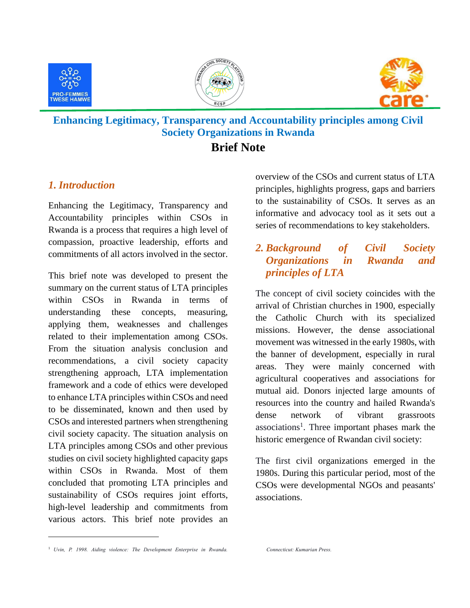





## **Enhancing Legitimacy, Transparency and Accountability principles among Civil Society Organizations in Rwanda**

## **Brief Note**

## *1. Introduction*

Enhancing the Legitimacy, Transparency and Accountability principles within CSOs in Rwanda is a process that requires a high level of compassion, proactive leadership, efforts and commitments of all actors involved in the sector.

This brief note was developed to present the summary on the current status of LTA principles within CSOs in Rwanda in terms of understanding these concepts, measuring, applying them, weaknesses and challenges related to their implementation among CSOs. From the situation analysis conclusion and recommendations, a civil society capacity strengthening approach, LTA implementation framework and a code of ethics were developed to enhance LTA principles within CSOs and need to be disseminated, known and then used by CSOs and interested partners when strengthening civil society capacity. The situation analysis on LTA principles among CSOs and other previous studies on civil society highlighted capacity gaps within CSOs in Rwanda. Most of them concluded that promoting LTA principles and sustainability of CSOs requires joint efforts, high-level leadership and commitments from various actors. This brief note provides an overview of the CSOs and current status of LTA principles, highlights progress, gaps and barriers to the sustainability of CSOs. It serves as an informative and advocacy tool as it sets out a series of recommendations to key stakeholders.

## *2. Background of Civil Society Organizations in Rwanda and principles of LTA*

The concept of civil society coincides with the arrival of Christian churches in 1900, especially the Catholic Church with its specialized missions. However, the dense associational movement was witnessed in the early 1980s, with the banner of development, especially in rural areas. They were mainly concerned with agricultural cooperatives and associations for mutual aid. Donors injected large amounts of resources into the country and hailed Rwanda's dense network of vibrant grassroots associations<sup>1</sup>. Three important phases mark the historic emergence of Rwandan civil society:

The first civil organizations emerged in the 1980s. During this particular period, most of the CSOs were developmental NGOs and peasants' associations.

 $\overline{a}$ 

<sup>&</sup>lt;sup>1</sup> *Uvin, P. 1998. Aiding violence: The Development Enterprise in Rwanda.*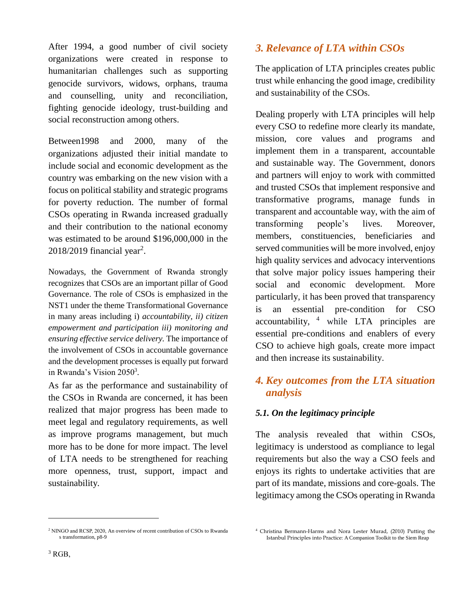After 1994, a good number of civil society organizations were created in response to humanitarian challenges such as supporting genocide survivors, widows, orphans, trauma and counselling, unity and reconciliation, fighting genocide ideology, trust-building and social reconstruction among others.

Between1998 and 2000, many of the organizations adjusted their initial mandate to include social and economic development as the country was embarking on the new vision with a focus on political stability and strategic programs for poverty reduction. The number of formal CSOs operating in Rwanda increased gradually and their contribution to the national economy was estimated to be around \$196,000,000 in the  $2018/2019$  financial year<sup>2</sup>.

Nowadays, the Government of Rwanda strongly recognizes that CSOs are an important pillar of Good Governance. The role of CSOs is emphasized in the NST1 under the theme Transformational Governance in many areas including i) *accountability, ii) citizen empowerment and participation iii) monitoring and ensuring effective service delivery.* The importance of the involvement of CSOs in accountable governance and the development processes is equally put forward in Rwanda's Vision 2050<sup>3</sup>.

As far as the performance and sustainability of the CSOs in Rwanda are concerned, it has been realized that major progress has been made to meet legal and regulatory requirements, as well as improve programs management, but much more has to be done for more impact. The level of LTA needs to be strengthened for reaching more openness, trust, support, impact and sustainability.

## *3. Relevance of LTA within CSOs*

The application of LTA principles creates public trust while enhancing the good image, credibility and sustainability of the CSOs.

Dealing properly with LTA principles will help every CSO to redefine more clearly its mandate, mission, core values and programs and implement them in a transparent, accountable and sustainable way. The Government, donors and partners will enjoy to work with committed and trusted CSOs that implement responsive and transformative programs, manage funds in transparent and accountable way, with the aim of transforming people's lives. Moreover, members, constituencies, beneficiaries and served communities will be more involved, enjoy high quality services and advocacy interventions that solve major policy issues hampering their social and economic development. More particularly, it has been proved that transparency is an essential pre-condition for CSO  $\alpha$  accountability,  $\alpha$  while LTA principles are essential pre-conditions and enablers of every CSO to achieve high goals, create more impact and then increase its sustainability.

## *4. Key outcomes from the LTA situation analysis*

## *5.1. On the legitimacy principle*

The analysis revealed that within CSOs, legitimacy is understood as compliance to legal requirements but also the way a CSO feels and enjoys its rights to undertake activities that are part of its mandate, missions and core-goals. The legitimacy among the CSOs operating in Rwanda

 $\overline{a}$ 

<sup>2</sup> NINGO and RCSP, 2020, An overview of recent contribution of CSOs to Rwanda s transformation, p8-9

<sup>4</sup> Christina Bermann-Harms and Nora Lester Murad, (2010) Putting the Istanbul Principles into Practice: A Companion Toolkit to the Siem Reap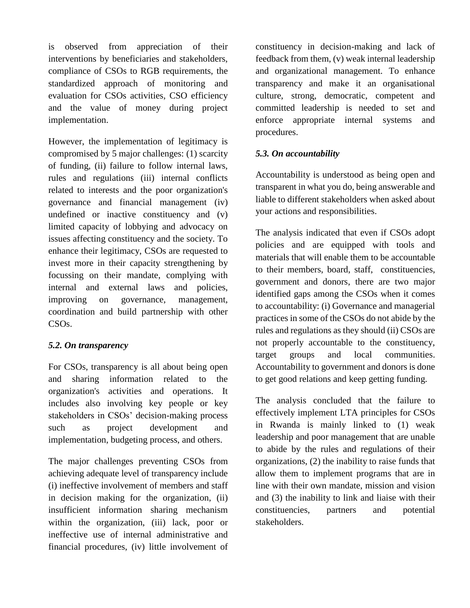is observed from appreciation of their interventions by beneficiaries and stakeholders, compliance of CSOs to RGB requirements, the standardized approach of monitoring and evaluation for CSOs activities, CSO efficiency and the value of money during project implementation.

However, the implementation of legitimacy is compromised by 5 major challenges: (1) scarcity of funding, (ii) failure to follow internal laws, rules and regulations (iii) internal conflicts related to interests and the poor organization's governance and financial management (iv) undefined or inactive constituency and (v) limited capacity of lobbying and advocacy on issues affecting constituency and the society. To enhance their legitimacy, CSOs are requested to invest more in their capacity strengthening by focussing on their mandate, complying with internal and external laws and policies, improving on governance, management, coordination and build partnership with other CSOs.

#### *5.2. On transparency*

For CSOs, transparency is all about being open and sharing information related to the organization's activities and operations. It includes also involving key people or key stakeholders in CSOs' decision-making process such as project development and implementation, budgeting process, and others.

The major challenges preventing CSOs from achieving adequate level of transparency include (i) ineffective involvement of members and staff in decision making for the organization, (ii) insufficient information sharing mechanism within the organization, (iii) lack, poor or ineffective use of internal administrative and financial procedures, (iv) little involvement of constituency in decision-making and lack of feedback from them, (v) weak internal leadership and organizational management. To enhance transparency and make it an organisational culture, strong, democratic, competent and committed leadership is needed to set and enforce appropriate internal systems and procedures.

#### *5.3. On accountability*

Accountability is understood as being open and transparent in what you do, being answerable and liable to different stakeholders when asked about your actions and responsibilities.

The analysis indicated that even if CSOs adopt policies and are equipped with tools and materials that will enable them to be accountable to their members, board, staff, constituencies, government and donors, there are two major identified gaps among the CSOs when it comes to accountability: (i) Governance and managerial practices in some of the CSOs do not abide by the rules and regulations as they should (ii) CSOs are not properly accountable to the constituency, target groups and local communities. Accountability to government and donors is done to get good relations and keep getting funding.

The analysis concluded that the failure to effectively implement LTA principles for CSOs in Rwanda is mainly linked to (1) weak leadership and poor management that are unable to abide by the rules and regulations of their organizations, (2) the inability to raise funds that allow them to implement programs that are in line with their own mandate, mission and vision and (3) the inability to link and liaise with their constituencies, partners and potential stakeholders.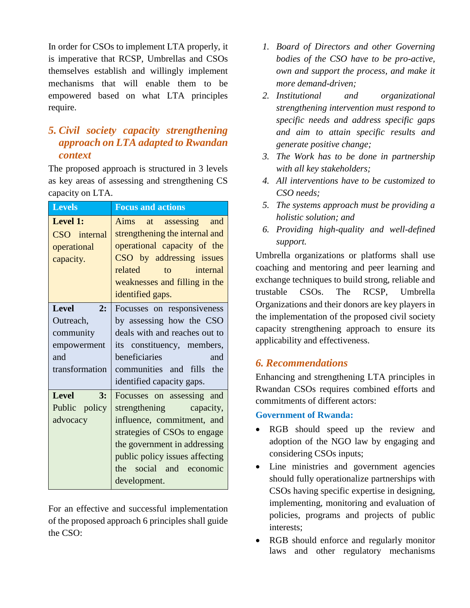In order for CSOs to implement LTA properly, it is imperative that RCSP, Umbrellas and CSOs themselves establish and willingly implement mechanisms that will enable them to be empowered based on what LTA principles require.

## *5. Civil society capacity strengthening approach on LTA adapted to Rwandan context*

The proposed approach is structured in 3 levels as key areas of assessing and strengthening CS capacity on LTA.

| <b>Levels</b>                                                                        | <b>Focus and actions</b>                                                                                                                                                                                                        |
|--------------------------------------------------------------------------------------|---------------------------------------------------------------------------------------------------------------------------------------------------------------------------------------------------------------------------------|
| Level 1:<br>CSO internal<br>operational<br>capacity.                                 | Aims<br>at assessing<br>and<br>strengthening the internal and<br>operational capacity of the<br>CSO by addressing issues<br>related<br>internal<br>$\mathsf{to}$<br>weaknesses and filling in the<br>identified gaps.           |
| <b>Level</b><br>2:<br>Outreach,<br>community<br>empowerment<br>and<br>transformation | Focusses on responsiveness<br>by assessing how the CSO<br>deals with and reaches out to<br>its constituency, members,<br>beneficiaries<br>and<br>communities and fills<br>the<br>identified capacity gaps.                      |
| <b>Level</b><br>3:<br>Public policy<br>advocacy                                      | Focusses on assessing and<br>strengthening capacity,<br>influence, commitment, and<br>strategies of CSOs to engage<br>the government in addressing<br>public policy issues affecting<br>the social and economic<br>development. |

For an effective and successful implementation of the proposed approach 6 principles shall guide the CSO:

- *1. Board of Directors and other Governing bodies of the CSO have to be pro-active, own and support the process, and make it more demand-driven;*
- *2. Institutional and organizational strengthening intervention must respond to specific needs and address specific gaps and aim to attain specific results and generate positive change;*
- *3. The Work has to be done in partnership with all key stakeholders;*
- *4. All interventions have to be customized to CSO needs;*
- *5. The systems approach must be providing a holistic solution; and*
- *6. Providing high-quality and well-defined support.*

Umbrella organizations or platforms shall use coaching and mentoring and peer learning and exchange techniques to build strong, reliable and trustable CSOs. The RCSP, Umbrella Organizations and their donors are key players in the implementation of the proposed civil society capacity strengthening approach to ensure its applicability and effectiveness.

## *6. Recommendations*

Enhancing and strengthening LTA principles in Rwandan CSOs requires combined efforts and commitments of different actors:

#### **Government of Rwanda:**

- RGB should speed up the review and adoption of the NGO law by engaging and considering CSOs inputs;
- Line ministries and government agencies should fully operationalize partnerships with CSOs having specific expertise in designing, implementing, monitoring and evaluation of policies, programs and projects of public interests;
- RGB should enforce and regularly monitor laws and other regulatory mechanisms